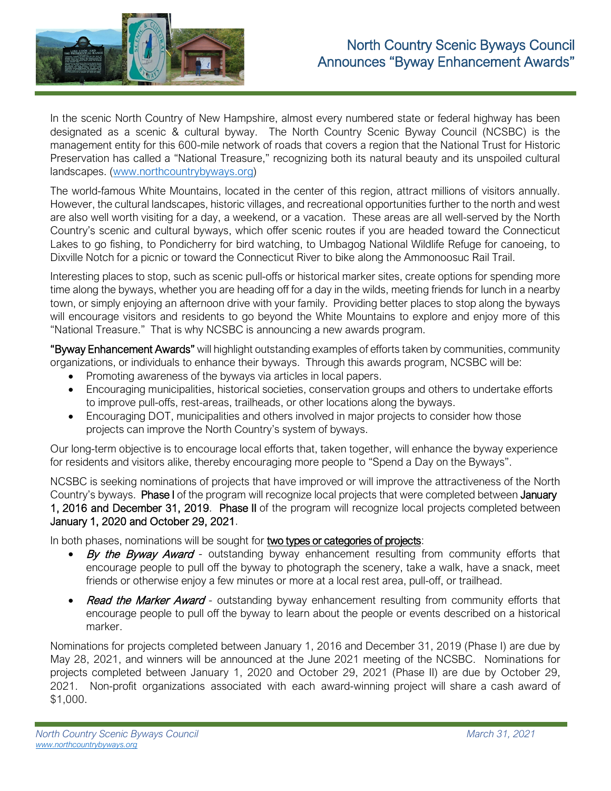

In the scenic North Country of New Hampshire, almost every numbered state or federal highway has been designated as a scenic & cultural byway. The North Country Scenic Byway Council (NCSBC) is the management entity for this 600-mile network of roads that covers a region that the National Trust for Historic Preservation has called a "National Treasure," recognizing both its natural beauty and its unspoiled cultural landscapes. [\(www.northcountrybyways.org\)](http://www.northcountrybyways.org/)

The world-famous White Mountains, located in the center of this region, attract millions of visitors annually. However, the cultural landscapes, historic villages, and recreational opportunities further to the north and west are also well worth visiting for a day, a weekend, or a vacation. These areas are all well-served by the North Country's scenic and cultural byways, which offer scenic routes if you are headed toward the Connecticut Lakes to go fishing, to Pondicherry for bird watching, to Umbagog National Wildlife Refuge for canoeing, to Dixville Notch for a picnic or toward the Connecticut River to bike along the Ammonoosuc Rail Trail.

Interesting places to stop, such as scenic pull-offs or historical marker sites, create options for spending more time along the byways, whether you are heading off for a day in the wilds, meeting friends for lunch in a nearby town, or simply enjoying an afternoon drive with your family. Providing better places to stop along the byways will encourage visitors and residents to go beyond the White Mountains to explore and enjoy more of this "National Treasure." That is why NCSBC is announcing a new awards program.

"Byway Enhancement Awards" will highlight outstanding examples of efforts taken by communities, community organizations, or individuals to enhance their byways. Through this awards program, NCSBC will be:

- Promoting awareness of the byways via articles in local papers.
- Encouraging municipalities, historical societies, conservation groups and others to undertake efforts to improve pull-offs, rest-areas, trailheads, or other locations along the byways.
- Encouraging DOT, municipalities and others involved in major projects to consider how those projects can improve the North Country's system of byways.

Our long-term objective is to encourage local efforts that, taken together, will enhance the byway experience for residents and visitors alike, thereby encouraging more people to "Spend a Day on the Byways".

NCSBC is seeking nominations of projects that have improved or will improve the attractiveness of the North Country's byways. Phase I of the program will recognize local projects that were completed between January 1, 2016 and December 31, 2019. Phase II of the program will recognize local projects completed between January 1, 2020 and October 29, 2021.

In both phases, nominations will be sought for two types or categories of projects:

- By the Byway Awardoutstanding byway enhancement resulting from community efforts that encourage people to pull off the byway to photograph the scenery, take a walk, have a snack, meet friends or otherwise enjoy a few minutes or more at a local rest area, pull-off, or trailhead.
- Read the Marker Awardoutstanding byway enhancement resulting from community efforts that encourage people to pull off the byway to learn about the people or events described on a historical marker.

Nominations for projects completed between January 1, 2016 and December 31, 2019 (Phase I) are due by May 28, 2021, and winners will be announced at the June 2021 meeting of the NCSBC. Nominations for projects completed between January 1, 2020 and October 29, 2021 (Phase II) are due by October 29, 2021. Non-profit organizations associated with each award-winning project will share a cash award of \$1,000.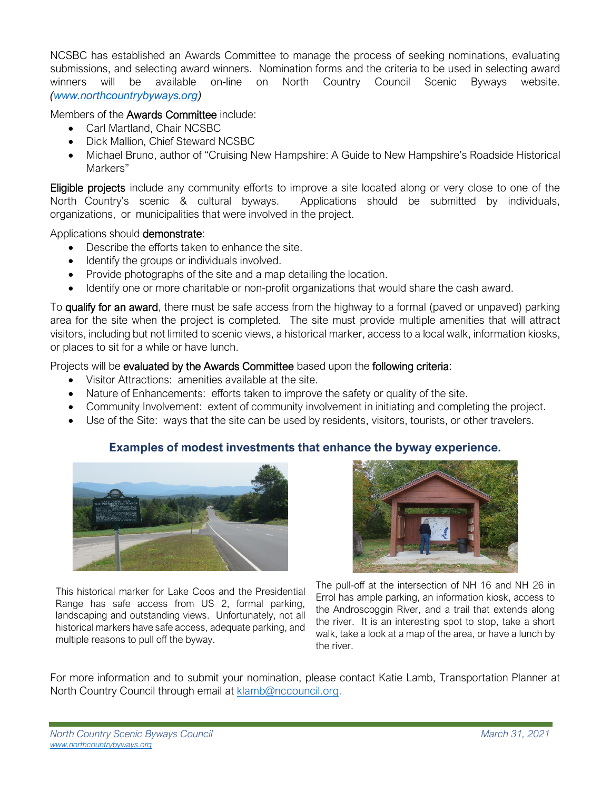NCSBC has established an Awards Committee to manage the process of seeking nominations, evaluating submissions, and selecting award winners. Nomination forms and the criteria to be used in selecting award winners will be available on-line on North Country Council Scenic Byways website. *[\(www.northcountrybyways.org\)](http://www.northcountrybyways.org/)*

Members of the Awards Committee include:

- Carl Martland, Chair NCSBC
- Dick Mallion, Chief Steward NCSBC
- Michael Bruno, author of "Cruising New Hampshire: A Guide to New Hampshire's Roadside Historical Markers"

Eligible projects include any community efforts to improve a site located along or very close to one of the North Country's scenic & cultural byways. Applications should be submitted by individuals, organizations, or municipalities that were involved in the project.

Applications should demonstrate:

- Describe the efforts taken to enhance the site.
- Identify the groups or individuals involved.
- Provide photographs of the site and a map detailing the location.
- Identify one or more charitable or non-profit organizations that would share the cash award.

To qualify for an award, there must be safe access from the highway to a formal (paved or unpaved) parking area for the site when the project is completed. The site must provide multiple amenities that will attract visitors, including but not limited to scenic views, a historical marker, access to a local walk, information kiosks, or places to sit for a while or have lunch.

Projects will be evaluated by the Awards Committee based upon the following criteria:

- Visitor Attractions: amenities available at the site.
- Nature of Enhancements: efforts taken to improve the safety or quality of the site.
- Community Involvement: extent of community involvement in initiating and completing the project.
- Use of the Site: ways that the site can be used by residents, visitors, tourists, or other travelers.

## **Examples of modest investments that enhance the byway experience.**



This historical marker for Lake Coos and the Presidential Range has safe access from US 2, formal parking, landscaping and outstanding views. Unfortunately, not all historical markers have safe access, adequate parking, and multiple reasons to pull off the byway.



The pull-off at the intersection of NH 16 and NH 26 in Errol has ample parking, an information kiosk, access to the Androscoggin River, and a trail that extends along the river. It is an interesting spot to stop, take a short walk, take a look at a map of the area, or have a lunch by the river.

For more information and to submit your nomination, please contact Katie Lamb, Transportation Planner at North Country Council through email at [klamb@nccouncil.org.](mailto:klamb@nccouncil.org)